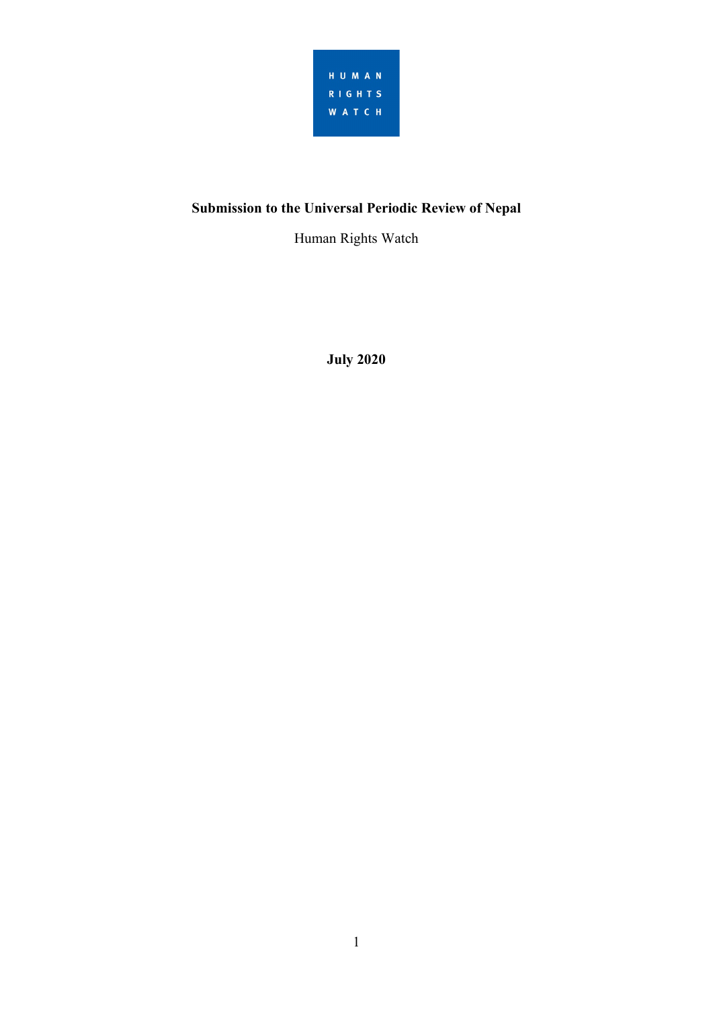

# **Submission to the Universal Periodic Review of Nepal**

Human Rights Watch

**July 2020**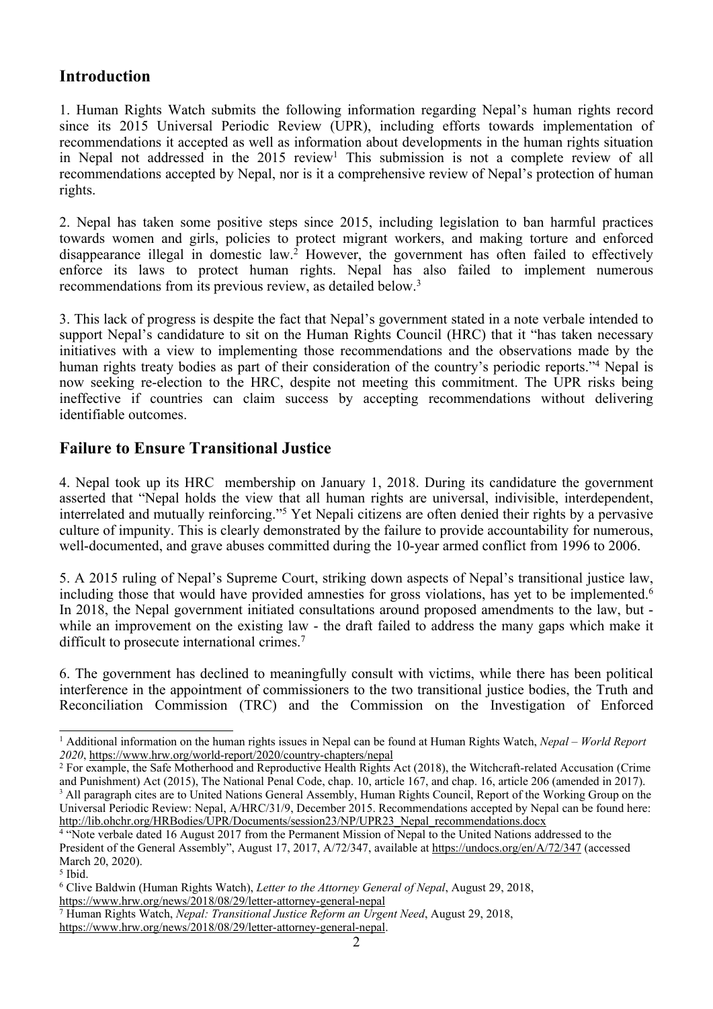## **Introduction**

1. Human Rights Watch submits the following information regarding Nepal'<sup>s</sup> human rights record since its 2015 Universal Periodic Review (UPR), including efforts towards implementation of recommendations it accepted as well as information about developments in the human rights situation in Nepal not addressed in the  $2015$  review<sup>1</sup> This submission is not a complete review of all recommendations accepted by Nepal, nor is it <sup>a</sup> comprehensive review of Nepal'<sup>s</sup> protection of human rights.

2. Nepal has taken some positive steps since 2015, including legislation to ban harmful practices towards women and girls, policies to protect migrant workers, and making torture and enforced disappearance illegal in domestic law. <sup>2</sup> However, the governmen<sup>t</sup> has often failed to effectively enforce its laws to protect human rights. Nepal has also failed to implement numerous recommendations from its previous review, as detailed below.<sup>3</sup>

3. This lack of progress is despite the fact that Nepal'<sup>s</sup> governmen<sup>t</sup> stated in <sup>a</sup> note verbale intended to suppor<sup>t</sup> Nepal'<sup>s</sup> candidature to sit on the Human Rights Council (HRC) that it "has taken necessary initiatives with <sup>a</sup> view to implementing those recommendations and the observations made by the human rights treaty bodies as par<sup>t</sup> of their consideration of the country'<sup>s</sup> periodic reports."<sup>4</sup> Nepal is now seeking re-election to the HRC, despite not meeting this commitment. The UPR risks being ineffective if countries can claim success by accepting recommendations without delivering identifiable outcomes.

# **Failure to Ensure Transitional Justice**

4. Nepal took up its HRC membership on January 1, 2018. During its candidature the governmen<sup>t</sup> asserted that "Nepal holds the view that all human rights are universal, indivisible, interdependent, interrelated and mutually reinforcing."<sup>5</sup> Yet Nepali citizens are often denied their rights by <sup>a</sup> pervasive culture of impunity. This is clearly demonstrated by the failure to provide accountability for numerous, well-documented, and grave abuses committed during the 10-year armed conflict from 1996 to 2006.

5. A 2015 ruling of Nepal'<sup>s</sup> Supreme Court, striking down aspects of Nepal'<sup>s</sup> transitional justice law, including those that would have provided amnesties for gross violations, has yet to be implemented.<sup>6</sup> In 2018, the Nepal governmen<sup>t</sup> initiated consultations around proposed amendments to the law, but while an improvement on the existing law - the draft failed to address the many gaps which make it difficult to prosecute international crimes.<sup>7</sup>

6. The governmen<sup>t</sup> has declined to meaningfully consult with victims, while there has been political interference in the appointment of commissioners to the two transitional justice bodies, the Truth and Reconciliation Commission (TRC) and the Commission on the Investigation of Enforced

<sup>1</sup> Additional information on the human rights issues in Nepal can be found at Human Rights Watch, *Nepal* – *World Report 2020*, <https://www.hrw.org/world-report/2020/country-chapters/nepal>

<sup>&</sup>lt;sup>2</sup> For example, the Safe Motherhood and Reproductive Health Rights Act (2018), the Witchcraft-related Accusation (Crime and Punishment) Act (2015), The National Penal Code, chap. 10, article 167, and chap. 16, article 206 (amended in 2017). 3 All paragraph cites are to United Nations General Assembly, Human Rights Council, Report of the Working Group on the

Universal Periodic Review: Nepal, A/HRC/31/9, December 2015. Recommendations accepted by Nepal can be found here: [http://lib.ohchr.org/HRBodies/UPR/Documents/session23/NP/UPR23\\_Nepal\\_recommendations.docx](http://lib.ohchr.org/HRBodies/UPR/Documents/session23/NP/UPR23_Nepal_recommendations.docx)

<sup>4</sup> "Note verbale dated 16 August 2017 from the Permanent Mission of Nepal to the United Nations addressed to the President of the General Assembly", August 17, 2017, A/72/347, available at <https://undocs.org/en/A/72/347> (accessed March 20, 2020).

<sup>5</sup> Ibid.

<sup>6</sup> Clive Baldwin (Human Rights Watch), *Letter to the Attorney General of Nepal*, August 29, 2018, <https://www.hrw.org/news/2018/08/29/letter-attorney-general-nepal>

<sup>7</sup> Human Rights Watch, *Nepal: Transitional Justice Reform an Urgent Need*, August 29, 2018, <https://www.hrw.org/news/2018/08/29/letter-attorney-general-nepal>.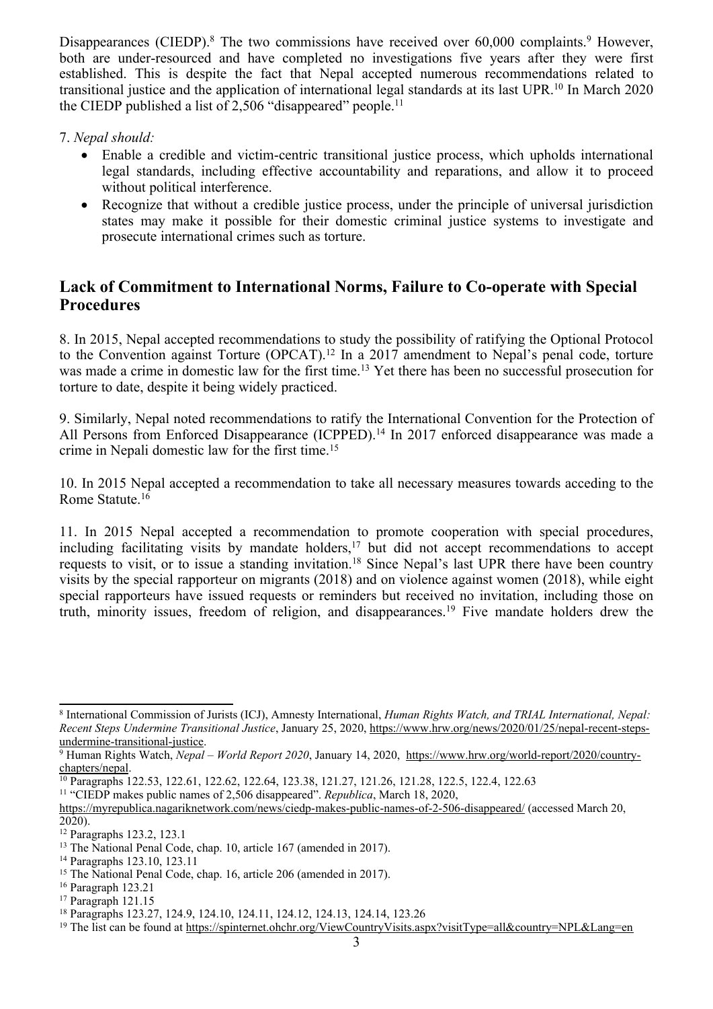Disappearances (CIEDP).<sup>8</sup> The two commissions have received over 60,000 complaints.<sup>9</sup> However, both are under-resourced and have completed no investigations five years after they were first established. This is despite the fact that Nepal accepted numerous recommendations related to transitional justice and the application of international legal standards at its last UPR.<sup>10</sup> In March 2020 the CIEDP published a list of 2,506 "disappeared" people.<sup>11</sup>

#### 7. *Nepal should:*

- Enable <sup>a</sup> credible and victim-centric transitional justice process, which upholds international legal standards, including effective accountability and reparations, and allow it to proceed without political interference.
- $\bullet$  Recognize that without <sup>a</sup> credible justice process, under the principle of universal jurisdiction states may make it possible for their domestic criminal justice systems to investigate and prosecute international crimes such as torture.

### **Lack of Commitment to International Norms, Failure to Co-operate with Special Procedures**

8. In 2015, Nepal accepted recommendations to study the possibility of ratifying the Optional Protocol to the Convention against Torture (OPCAT). 12 In <sup>a</sup> 2017 amendment to Nepal'<sup>s</sup> penal code, torture was made <sup>a</sup> crime in domestic law for the first time. <sup>13</sup> Yet there has been no successful prosecution for torture to date, despite it being widely practiced.

9. Similarly, Nepal noted recommendations to ratify the International Convention for the Protection of All Persons from Enforced Disappearance (ICPPED).<sup>14</sup> In 2017 enforced disappearance was made a crime in Nepali domestic law for the first time. 15

10. In 2015 Nepal accepted <sup>a</sup> recommendation to take all necessary measures towards acceding to the Rome Statute. 16

11. In 2015 Nepal accepted <sup>a</sup> recommendation to promote cooperation with special procedures, including facilitating visits by mandate holders, 17 but did not accep<sup>t</sup> recommendations to accep<sup>t</sup> requests to visit, or to issue <sup>a</sup> standing invitation. 18 Since Nepal'<sup>s</sup> last UPR there have been country visits by the special rapporteur on migrants (2018) and on violence against women (2018), while eight special rapporteurs have issued requests or reminders but received no invitation, including those on truth, minority issues, freedom of religion, and disappearances. 19 Five mandate holders drew the

<sup>8</sup> International Commission of Jurists (ICJ), Amnesty International, *Human Rights Watch, and TRIAL International, Nepal: Recent Steps Undermine Transitional Justice*, January 25, 2020, [https://www.hrw.org/news/2020/01/25/nepal-recent-steps](https://www.hrw.org/news/2020/01/25/nepal-recent-steps-undermine-transitional-justice)[undermine-transitional-justice](https://www.hrw.org/news/2020/01/25/nepal-recent-steps-undermine-transitional-justice).

<sup>9</sup> Human Rights Watch, *Nepal* – *World Report 2020*, January 14, 2020, [https://www.hrw.org/world-report/2020/country](https://www.hrw.org/world-report/2020/country-chapters/nepal)[chapters/nepal](https://www.hrw.org/world-report/2020/country-chapters/nepal).

<sup>10</sup> Paragraphs 122.53, 122.61, 122.62, 122.64, 123.38, 121.27, 121.26, 121.28, 122.5, 122.4, 122.63

<sup>11</sup> "CIEDP makes public names of 2,506 disappeared". *Republica*, March 18, 2020,

<https://myrepublica.nagariknetwork.com/news/ciedp-makes-public-names-of-2-506-disappeared/> (accessed March 20, 2020).

<sup>12</sup> Paragraphs 123.2, 123.1

<sup>&</sup>lt;sup>13</sup> The National Penal Code, chap. 10, article 167 (amended in 2017).

<sup>14</sup> Paragraphs 123.10, 123.11

<sup>15</sup> The National Penal Code, chap. 16, article 206 (amended in 2017).

<sup>16</sup> Paragraph 123.21

<sup>17</sup> Paragraph 121.15

<sup>18</sup> Paragraphs 123.27, 124.9, 124.10, 124.11, 124.12, 124.13, 124.14, 123.26

<sup>&</sup>lt;sup>19</sup> The list can be found at <https://spinternet.ohchr.org/ViewCountryVisits.aspx?visitType=all&country=NPL&Lang=en>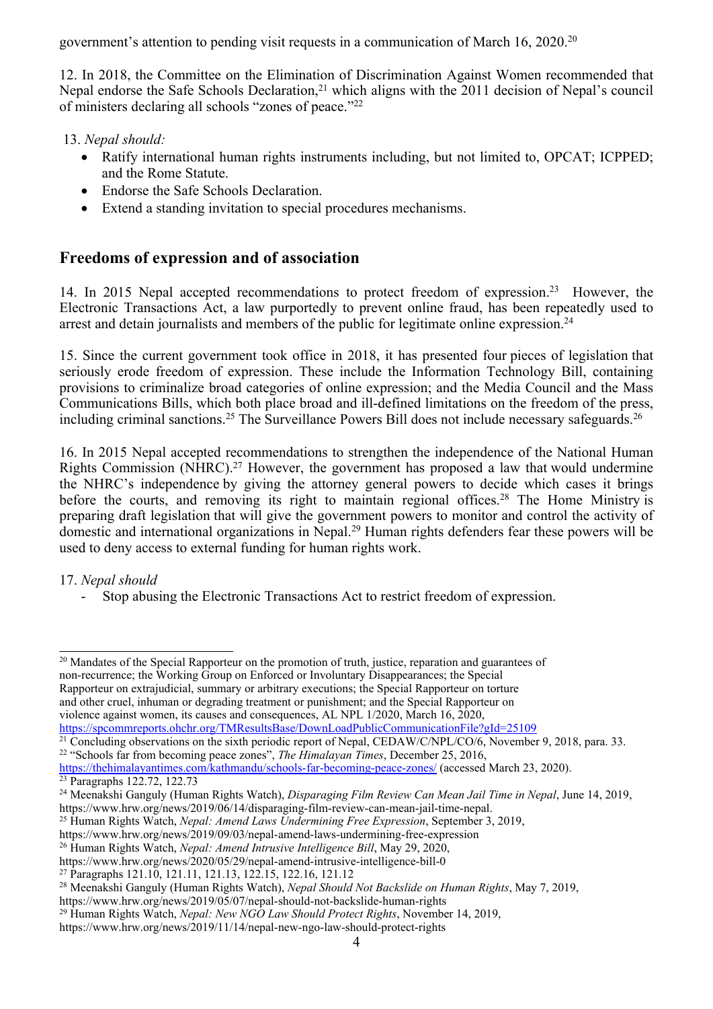government'<sup>s</sup> attention to pending visit requests in <sup>a</sup> communication of March 16, 2020. 20

12. In 2018, the Committee on the Elimination of Discrimination Against Women recommended that Nepal endorse the Safe Schools Declaration,<sup>21</sup> which aligns with the 2011 decision of Nepal's council of ministers declaring all schools "zones of peace."<sup>22</sup>

- 13. *Nepal should:*
	- Ratify international human rights instruments including, but not limited to, OPCAT; ICPPED; and the Rome Statute.
	- Endorse the Safe Schools Declaration.
	- Extend <sup>a</sup> standing invitation to special procedures mechanisms.

### **Freedoms of expression and of association**

14. In 2015 Nepal accepted recommendations to protect freedom of expression.<sup>23</sup> However, the Electronic Transactions Act, <sup>a</sup> law purportedly to preven<sup>t</sup> online fraud, has been repeatedly used to arrest and detain journalists and members of the public for legitimate online expression.<sup>24</sup>

15. Since the current governmen<sup>t</sup> took office in 2018, it has presented four pieces of legislation that seriously erode freedom of expression. These include the Information Technology Bill, containing provisions to criminalize broad categories of online expression; and the Media Council and the Mass Communications Bills, which both place broad and ill-defined limitations on the freedom of the press, including criminal sanctions.<sup>25</sup> The Surveillance Powers Bill does not include necessary safeguards.<sup>26</sup>

16. In 2015 Nepal accepted recommendations to strengthen the independence of the National Human Rights Commission (NHRC).<sup>27</sup> However, the government has proposed a law that would undermine the NHRC'<sup>s</sup> independence by giving the attorney general powers to decide which cases it brings before the courts, and removing its right to maintain regional offices.<sup>28</sup> The Home Ministry is preparing draft legislation that will give the governmen<sup>t</sup> powers to monitor and control the activity of domestic and international organizations in Nepal. <sup>29</sup> Human rights defenders fear these powers will be used to deny access to external funding for human rights work.

#### 17. *Nepal should*

-Stop abusing the Electronic Transactions Act to restrict freedom of expression.

<sup>20</sup> Mandates of the Special Rapporteur on the promotion of truth, justice, reparation and guarantees of non-recurrence; the Working Group on Enforced or Involuntary Disappearances; the Special Rapporteur on extrajudicial, summary or arbitrary executions; the Special Rapporteur on torture and other cruel, inhuman or degrading treatment or punishment; and the Special Rapporteur on violence against women, its causes and consequences, AL NPL 1/2020, March 16, 2020, <https://spcommreports.ohchr.org/TMResultsBase/DownLoadPublicCommunicationFile?gId=25109>

<sup>21</sup> Concluding observations on the sixth periodic report of Nepal, CEDAW/C/NPL/CO/6, November 9, 2018, para. 33.

23 Paragraphs 122.72, 122.73

<sup>26</sup> Human Rights Watch, *Nepal: Amend Intrusive Intelligence Bill*, May 29, 2020,

<sup>22</sup> "Schools far from becoming peace zones", *The Himalayan Times*, December 25, 2016,

<https://thehimalayantimes.com/kathmandu/schools-far-becoming-peace-zones/> (accessed March 23, 2020).

<sup>24</sup> Meenakshi Ganguly (Human Rights Watch), *Disparaging Film Review Can Mean Jail Time in Nepal*, June 14, 2019, https://www.hrw.org/news/2019/06/14/disparaging-film-review-can-mean-jail-time-nepal.

<sup>25</sup> Human Rights Watch, *Nepal: Amend Laws Undermining Free Expression*, September 3, 2019,

https://www.hrw.org/news/2019/09/03/nepal-amend-laws-undermining-free-expression

https://www.hrw.org/news/2020/05/29/nepal-amend-intrusive-intelligence-bill-0

<sup>27</sup> Paragraphs 121.10, 121.11, 121.13, 122.15, 122.16, 121.12

<sup>28</sup> Meenakshi Ganguly (Human Rights Watch), *Nepal Should Not Backslide on Human Rights*, May 7, 2019,

https://www.hrw.org/news/2019/05/07/nepal-should-not-backslide-human-rights

<sup>29</sup> Human Rights Watch, *Nepal: New NGO Law Should Protect Rights*, November 14, 2019,

https://www.hrw.org/news/2019/11/14/nepal-new-ngo-law-should-protect-rights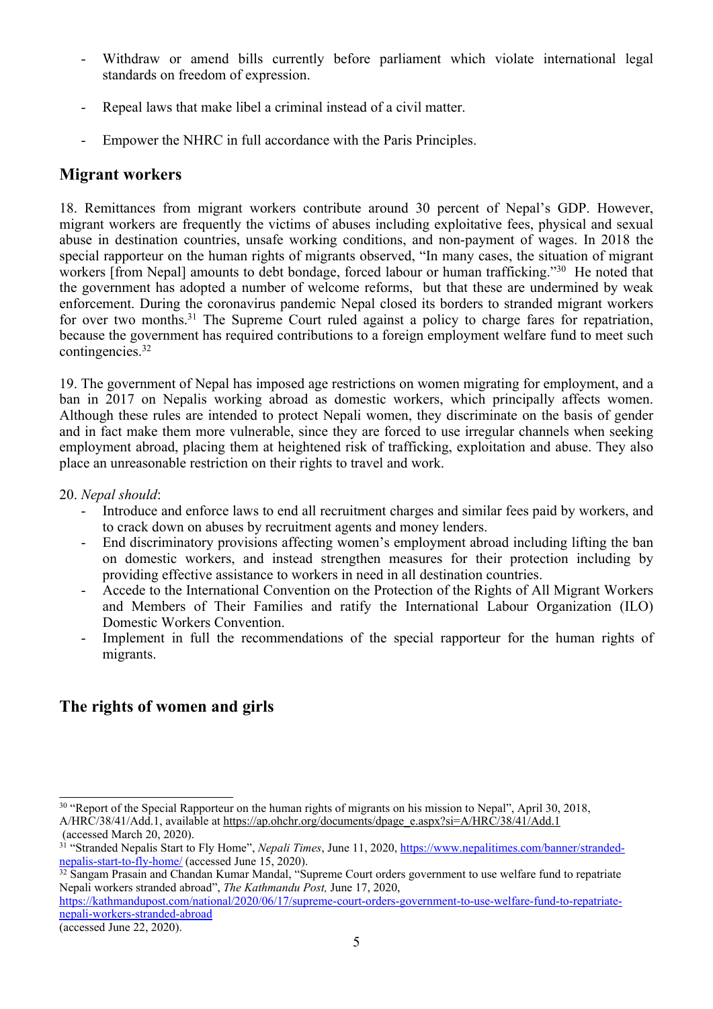- - Withdraw or amend bills currently before parliament which violate international legal standards on freedom of expression.
- -Repeal laws that make libel <sup>a</sup> criminal instead of <sup>a</sup> civil matter.
- -Empower the NHRC in full accordance with the Paris Principles.

#### **Migrant workers**

18. Remittances from migrant workers contribute around 30 percen<sup>t</sup> of Nepal'<sup>s</sup> GDP. However, migrant workers are frequently the victims of abuses including exploitative fees, physical and sexual abuse in destination countries, unsafe working conditions, and non-paymen<sup>t</sup> of wages. In 2018 the special rapporteur on the human rights of migrants observed, "In many cases, the situation of migrant workers [from Nepal] amounts to debt bondage, forced labour or human trafficking."<sup>30</sup> He noted that the governmen<sup>t</sup> has adopted <sup>a</sup> number of welcome reforms, but that these are undermined by weak enforcement. During the coronavirus pandemic Nepal closed its borders to stranded migrant workers for over two months.<sup>31</sup> The Supreme Court ruled against a policy to charge fares for repatriation, because the governmen<sup>t</sup> has required contributions to <sup>a</sup> foreign employment welfare fund to meet such contingencies. 32

19. The governmen<sup>t</sup> of Nepal has imposed age restrictions on women migrating for employment, and <sup>a</sup> ban in 2017 on Nepalis working abroad as domestic workers, which principally affects women. Although these rules are intended to protect Nepali women, they discriminate on the basis of gender and in fact make them more vulnerable, since they are forced to use irregular channels when seeking employment abroad, placing them at heightened risk of trafficking, exploitation and abuse. They also place an unreasonable restriction on their rights to travel and work.

20. *Nepal should*:

- - Introduce and enforce laws to end all recruitment charges and similar fees paid by workers, and to crack down on abuses by recruitment agents and money lenders.
- - End discriminatory provisions affecting women'<sup>s</sup> employment abroad including lifting the ban on domestic workers, and instead strengthen measures for their protection including by providing effective assistance to workers in need in all destination countries.
- Accede to the International Convention on the Protection of the Rights of All Migrant Workers and Members of Their Families and ratify the International Labour Organization (ILO) Domestic Workers Convention.
- Implement in full the recommendations of the special rapporteur for the human rights of migrants.

## **The rights of women and girls**

<sup>&</sup>lt;sup>30</sup> "Report of the Special Rapporteur on the human rights of migrants on his mission to Nepal", April 30, 2018, A/HRC/38/41/Add.1, available at [https://ap.ohchr.org/documents/dpage\\_e.aspx?si=A/HRC/38/41/Add.1](https://ap.ohchr.org/documents/dpage_e.aspx?si=A/HRC/38/41/Add.1) (accessed March 20, 2020).

<sup>31</sup> "Stranded Nepalis Start to Fly Home", *Nepali Times*, June 11, 2020, [https://www.nepalitimes.com/banner/stranded-](https://www.nepalitimes.com/banner/stranded-nepalis-start-to-fly-home/)

<sup>&</sup>lt;u>nepa[lis-start-to-fly-home/](https://www.nepalitimes.com/banner/stranded-nepalis-start-to-fly-home/)</u> (accessed June 15, 2020).<br><sup>32</sup> Sangam Prasain and Chandan Kumar Mandal, ''Supreme Court orders government to use welfare fund to repatriate Nepali workers stranded abroad", *The Kathmandu Post,* June 17, 2020,

[https://kathmandupost.com/national/2020/06/17/supreme-court-orders-government-to-use-welfare-fund-to-repatriate](https://kathmandupost.com/national/2020/06/17/supreme-court-orders-government-to-use-welfare-fund-to-repatriate-nepali-workers-stranded-abroad)nepa[li-workers-stranded-abroad](https://kathmandupost.com/national/2020/06/17/supreme-court-orders-government-to-use-welfare-fund-to-repatriate-nepali-workers-stranded-abroad)

<sup>(</sup>accessed June 22, 2020).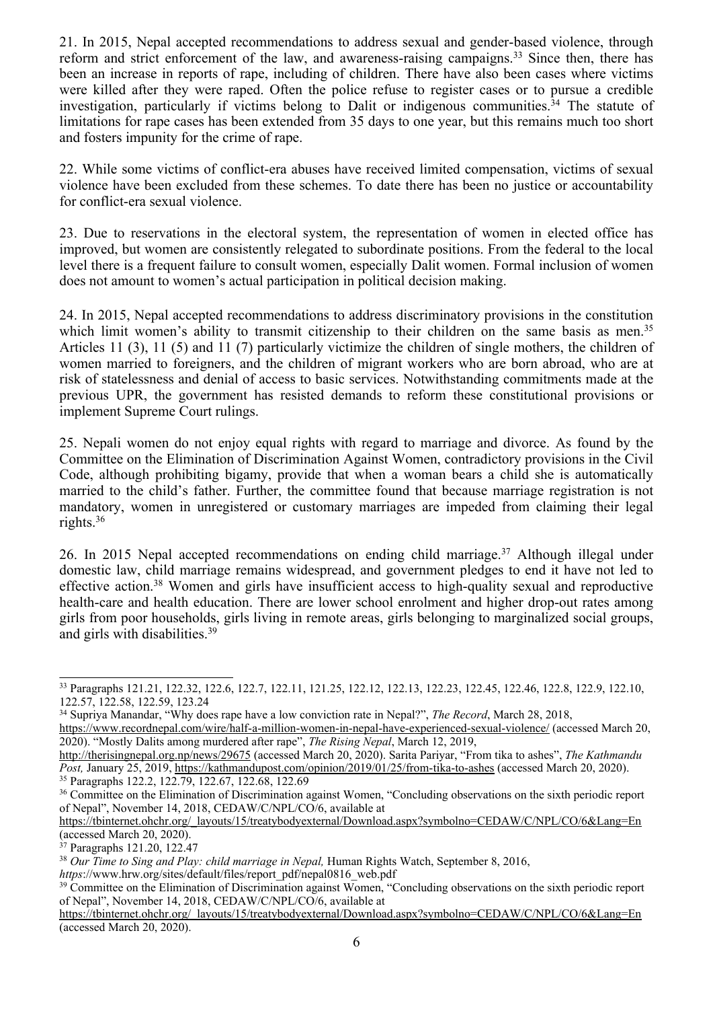21. In 2015, Nepal accepted recommendations to address sexual and gender-based violence, through reform and strict enforcement of the law, and awareness-raising campaigns.<sup>33</sup> Since then, there has been an increase in reports of rape, including of children. There have also been cases where victims were killed after they were raped. Often the police refuse to register cases or to pursue <sup>a</sup> credible investigation, particularly if victims belong to Dalit or indigenous communities. 34 The statute of limitations for rape cases has been extended from 35 days to one year, but this remains much too short and fosters impunity for the crime of rape.

22. While some victims of conflict-era abuses have received limited compensation, victims of sexual violence have been excluded from these schemes. To date there has been no justice or accountability for conflict-era sexual violence.

23. Due to reservations in the electoral system, the representation of women in elected office has improved, but women are consistently relegated to subordinate positions. From the federal to the local level there is <sup>a</sup> frequent failure to consult women, especially Dalit women. Formal inclusion of women does not amount to women'<sup>s</sup> actual participation in political decision making.

24. In 2015, Nepal accepted recommendations to address discriminatory provisions in the constitution which limit women's ability to transmit citizenship to their children on the same basis as men.<sup>35</sup> Articles 11 (3), 11 (5) and 11 (7) particularly victimize the children of single mothers, the children of women married to foreigners, and the children of migrant workers who are born abroad, who are at risk of statelessness and denial of access to basic services. Notwithstanding commitments made at the previous UPR, the governmen<sup>t</sup> has resisted demands to reform these constitutional provisions or implement Supreme Court rulings.

25. Nepali women do not enjoy equal rights with regard to marriage and divorce. As found by the Committee on the Elimination of Discrimination Against Women, contradictory provisions in the Civil Code, although prohibiting bigamy, provide that when <sup>a</sup> woman bears <sup>a</sup> child she is automatically married to the child'<sup>s</sup> father. Further, the committee found that because marriage registration is not mandatory, women in unregistered or customary marriages are impeded from claiming their legal rights. 36

26. In 2015 Nepal accepted recommendations on ending child marriage. <sup>37</sup> Although illegal under domestic law, child marriage remains widespread, and governmen<sup>t</sup> pledges to end it have not led to effective action.<sup>38</sup> Women and girls have insufficient access to high-quality sexual and reproductive health-care and health education. There are lower school enrolment and higher drop-out rates among girls from poor households, girls living in remote areas, girls belonging to marginalized social groups, and girls with disabilities. 39

<sup>33</sup> Paragraphs 121.21, 122.32, 122.6, 122.7, 122.11, 121.25, 122.12, 122.13, 122.23, 122.45, 122.46, 122.8, 122.9, 122.10, 122.57, 122.58, 122.59, 123.24

<sup>34</sup> Supriya Manandar, "Why does rape have <sup>a</sup> low conviction rate in Nepal?", *The Record*, March 28, 2018, <https://www.recordnepal.com/wire/half-a-million-women-in-nepal-have-experienced-sexual-violence/> (accessed March 20,

<sup>2020).</sup> "Mostly Dalits among murdered after rape", *The Rising Nepal*, March 12, 2019, <http://therisingnepal.org.np/news/29675> (accessed March 20, 2020). Sarita Pariyar, "From tika to ashes", *The Kathmandu*

*Post,* January 25, 2019, <https://kathmandupost.com/opinion/2019/01/25/from-tika-to-ashes> (accessed March 20, 2020). 35 Paragraphs 122.2, 122.79, 122.67, 122.68, 122.69

<sup>&</sup>lt;sup>36</sup> Committee on the Elimination of Discrimination against Women, "Concluding observations on the sixth periodic report of Nepal", November 14, 2018, CEDAW/C/NPL/CO/6, available at

[https://tbinternet.ohchr.org/\\_layouts/15/treatybodyexternal/Download.aspx?symbolno=CEDAW/C/NPL/CO/6&Lang=En](https://tbinternet.ohchr.org/_layouts/15/treatybodyexternal/Download.aspx?symbolno=CEDAW/C/NPL/CO/6&Lang=En) (accessed March 20, 2020).

<sup>37</sup> Paragraphs 121.20, 122.47

<sup>38</sup> *Our Time to Sing and Play: child marriage in Nepal,* Human Rights Watch, September 8, 2016, *https*://www.hrw.org/sites/default/files/report\_pdf/nepal0816\_web.pdf

<sup>&</sup>lt;sup>39</sup> Committee on the Elimination of Discrimination against Women, "Concluding observations on the sixth periodic report of Nepal", November 14, 2018, CEDAW/C/NPL/CO/6, available at

[https://tbinternet.ohchr.org/\\_layouts/15/treatybodyexternal/Download.aspx?symbolno=CEDAW/C/NPL/CO/6&Lang=En](https://tbinternet.ohchr.org/_layouts/15/treatybodyexternal/Download.aspx?symbolno=CEDAW/C/NPL/CO/6&Lang=En) (accessed March 20, 2020).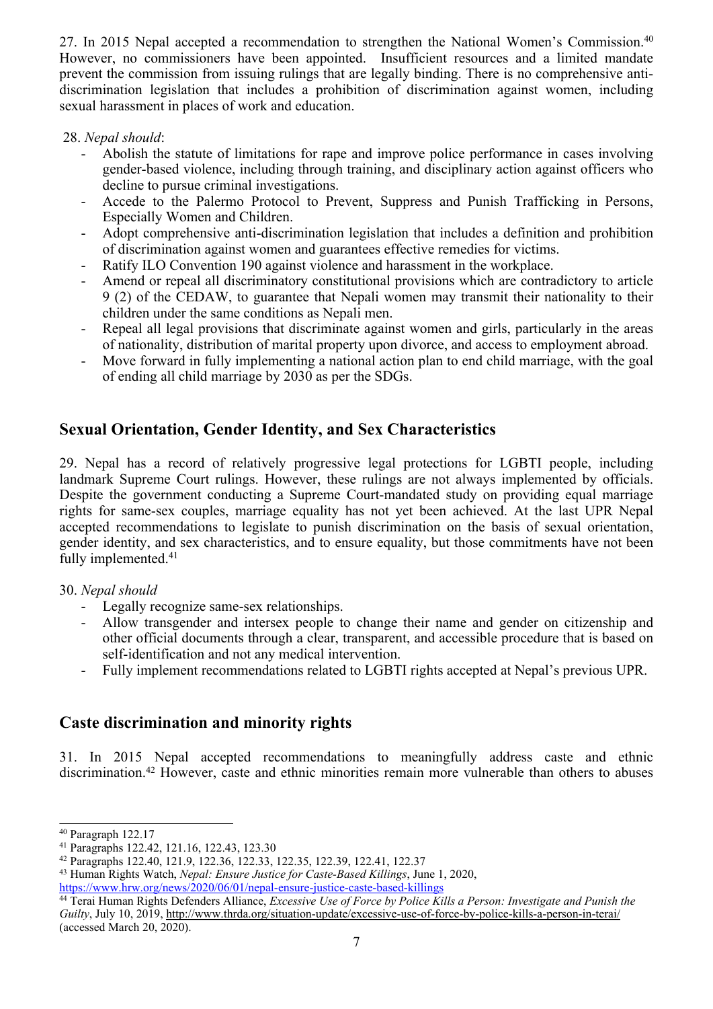27. In 2015 Nepal accepted a recommendation to strengthen the National Women's Commission.<sup>40</sup> However, no commissioners have been appointed. Insufficient resources and <sup>a</sup> limited mandate preven<sup>t</sup> the commission from issuing rulings that are legally binding. There is no comprehensive antidiscrimination legislation that includes <sup>a</sup> prohibition of discrimination against women, including sexual harassment in places of work and education.

#### 28. *Nepal should*:

- - Abolish the statute of limitations for rape and improve police performance in cases involving gender-based violence, including through training, and disciplinary action against officers who decline to pursue criminal investigations.
- Accede to the Palermo Protocol to Prevent, Suppress and Punish Trafficking in Persons, Especially Women and Children.
- - Adopt comprehensive anti-discrimination legislation that includes <sup>a</sup> definition and prohibition of discrimination against women and guarantees effective remedies for victims.
- -Ratify ILO Convention 190 against violence and harassment in the workplace.
- - Amend or repeal all discriminatory constitutional provisions which are contradictory to article 9 (2) of the CEDAW, to guarantee that Nepali women may transmit their nationality to their children under the same conditions as Nepali men.
- - Repeal all legal provisions that discriminate against women and girls, particularly in the areas of nationality, distribution of marital property upon divorce, and access to employment abroad.
- Move forward in fully implementing <sup>a</sup> national action plan to end child marriage, with the goal of ending all child marriage by 2030 as per the SDGs.

## **Sexual Orientation, Gender Identity, and Sex Characteristics**

29. Nepal has <sup>a</sup> record of relatively progressive legal protections for LGBTI people, including landmark Supreme Court rulings. However, these rulings are not always implemented by officials. Despite the governmen<sup>t</sup> conducting <sup>a</sup> Supreme Court-mandated study on providing equal marriage rights for same-sex couples, marriage equality has not ye<sup>t</sup> been achieved. At the last UPR Nepal accepted recommendations to legislate to punish discrimination on the basis of sexual orientation, gender identity, and sex characteristics, and to ensure equality, but those commitments have not been fully implemented. 41

#### 30. *Nepal should*

- -Legally recognize same-sex relationships.
- - Allow transgender and intersex people to change their name and gender on citizenship and other official documents through <sup>a</sup> clear, transparent, and accessible procedure that is based on self-identification and not any medical intervention.
- -Fully implement recommendations related to LGBTI rights accepted at Nepal'<sup>s</sup> previous UPR.

## **Caste discrimination and minority rights**

31. In 2015 Nepal accepted recommendations to meaningfully address caste and ethnic discrimination.<sup>42</sup> However, caste and ethnic minorities remain more vulnerable than others to abuses

<sup>40</sup> Paragraph 122.17

<sup>41</sup> Paragraphs 122.42, 121.16, 122.43, 123.30

<sup>42</sup> Paragraphs 122.40, 121.9, 122.36, 122.33, 122.35, 122.39, 122.41, 122.37

<sup>43</sup> Human Rights Watch, *Nepal: Ensure Justice for Caste-Based Killings*, June 1, 2020, <https://www.hrw.org/news/2020/06/01/nepal-ensure-justice-caste-based-killings>

<sup>44</sup> Terai Human Rights Defenders Alliance, *Excessive Use of Force by Police Kills <sup>a</sup> Person: Investigate and Punish the Guilty*, July 10, 2019, <http://www.thrda.org/situation-update/excessive-use-of-force-by-police-kills-a-person-in-terai/> (accessed March 20, 2020).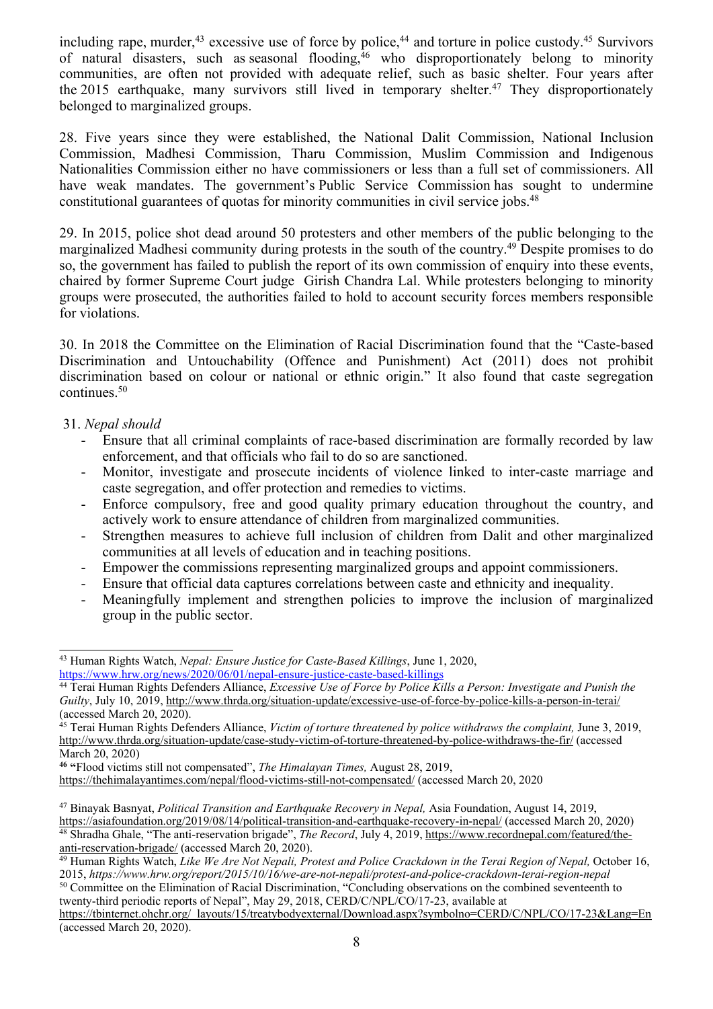including rape, murder,<sup>43</sup> excessive use of force by police,<sup>44</sup> and torture in police custody.<sup>45</sup> Survivors of natural disasters, such as seasonal flooding, <sup>46</sup> who disproportionately belong to minority communities, are often not provided with adequate relief, such as basic shelter. Four years after the 2015 earthquake, many survivors still lived in temporary shelter.<sup>47</sup> They disproportionately belonged to marginalized groups.

28. Five years since they were established, the National Dalit Commission, National Inclusion Commission, Madhesi Commission, Tharu Commission, Muslim Commission and Indigenous Nationalities Commission either no have commissioners or less than <sup>a</sup> full set of commissioners. All have weak mandates. The government'<sup>s</sup> Public Service Commission has sought to undermine constitutional guarantees of quotas for minority communities in civil service jobs. 48

29. In 2015, police shot dead around 50 protesters and other members of the public belonging to the marginalized Madhesi community during protests in the south of the country. <sup>49</sup> Despite promises to do so, the governmen<sup>t</sup> has failed to publish the repor<sup>t</sup> of its own commission of enquiry into these events, chaired by former Supreme Court judge Girish Chandra Lal. While protesters belonging to minority groups were prosecuted, the authorities failed to hold to account security forces members responsible for violations.

30. In 2018 the Committee on the Elimination of Racial Discrimination found that the "Caste-based Discrimination and Untouchability (Offence and Punishment) Act (2011) does not prohibit discrimination based on colour or national or ethnic origin." It also found that caste segregation continues. 50

#### 31. *Nepal should*

- - Ensure that all criminal complaints of race-based discrimination are formally recorded by law enforcement, and that officials who fail to do so are sanctioned.
- - Monitor, investigate and prosecute incidents of violence linked to inter-caste marriage and caste segregation, and offer protection and remedies to victims.
- - Enforce compulsory, free and good quality primary education throughout the country, and actively work to ensure attendance of children from marginalized communities.
- Strengthen measures to achieve full inclusion of children from Dalit and other marginalized communities at all levels of education and in teaching positions.
- -Empower the commissions representing marginalized groups and appoint commissioners.
- -Ensure that official data captures correlations between caste and ethnicity and inequality.
- Meaningfully implement and strengthen policies to improve the inclusion of marginalized group in the public sector.

<sup>50</sup> Committee on the Elimination of Racial Discrimination, "Concluding observations on the combined seventeenth to twenty-third periodic reports of Nepal", May 29, 2018, CERD/C/NPL/CO/17-23, available at

[https://tbinternet.ohchr.org/\\_layouts/15/treatybodyexternal/Download.aspx?symbolno=CERD/C/NPL/CO/17-23&Lang=En](https://tbinternet.ohchr.org/_layouts/15/treatybodyexternal/Download.aspx?symbolno=CERD/C/NPL/CO/17-23&Lang=En) (accessed March 20, 2020).

<sup>43</sup> Human Rights Watch, *Nepal: Ensure Justice for Caste-Based Killings*, June 1, 2020, <https://www.hrw.org/news/2020/06/01/nepal-ensure-justice-caste-based-killings>

<sup>44</sup> Terai Human Rights Defenders Alliance, *Excessive Use of Force by Police Kills <sup>a</sup> Person: Investigate and Punish the Guilty*, July 10, 2019, <http://www.thrda.org/situation-update/excessive-use-of-force-by-police-kills-a-person-in-terai/> (accessed March 20, 2020).

<sup>45</sup> Terai Human Rights Defenders Alliance, *Victim of torture threatened by police withdraws the complaint,* June 3, 2019, <http://www.thrda.org/situation-update/case-study-victim-of-torture-threatened-by-police-withdraws-the-fir/> (accessed March 20, 2020)

**<sup>46</sup> "**Flood victims still not compensated", *The Himalayan Times,* August 28, 2019,

<https://thehimalayantimes.com/nepal/flood-victims-still-not-compensated/> (accessed March 20, 2020

<sup>47</sup> Binayak Basnyat, *Political Transition and Earthquake Recovery in Nepal,* Asia Foundation, August 14, 2019, <https://asiafoundation.org/2019/08/14/political-transition-and-earthquake-recovery-in-nepal/> (accessed March 20, 2020) 48 Shradha Ghale, "The anti-reservation brigade", *The Record*, July 4, 2019, [https://www.recordnepal.com/featured/the-](https://www.recordnepal.com/featured/the-anti-reservation-brigade/)

[anti-reservation-brigade/](https://www.recordnepal.com/featured/the-anti-reservation-brigade/) (accessed March 20, 2020).

<sup>49</sup> Human Rights Watch, *Like We Are Not Nepali, Protest and Police Crackdown in the Terai Region of Nepal,* October 16, 2015, *https://www.hrw.org/report/2015/10/16/we-are-not-nepali/protest-and-police-crackdown-terai-region-nepal*